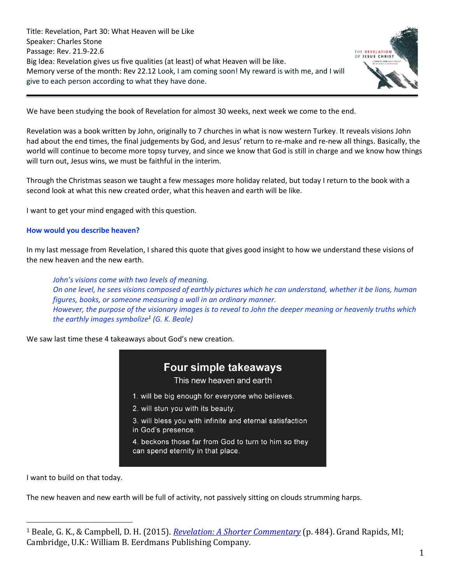Title: Revelation, Part 30: What Heaven will be Like Speaker: Charles Stone Passage: Rev. 21.9-22.6 Big Idea: Revelation gives us five qualities (at least) of what Heaven will be like. Memory verse of the month: Rev 22.12 Look, I am coming soon! My reward is with me, and I will give to each person according to what they have done.



We have been studying the book of Revelation for almost 30 weeks, next week we come to the end.

Revelation was a book written by John, originally to 7 churches in what is now western Turkey. It reveals visions John had about the end times, the final judgements by God, and Jesus' return to re-make and re-new all things. Basically, the world will continue to become more topsy turvey, and since we know that God is still in charge and we know how things will turn out, Jesus wins, we must be faithful in the interim.

Through the Christmas season we taught a few messages more holiday related, but today I return to the book with a second look at what this new created order, what this heaven and earth will be like.

I want to get your mind engaged with this question.

#### **How would you describe heaven?**

In my last message from Revelation, I shared this quote that gives good insight to how we understand these visions of the new heaven and the new earth.

*John's visions come with two levels of meaning. On one level, he sees visions composed of earthly pictures which he can understand, whether it be lions, human figures, books, or someone measuring a wall in an ordinary manner. However, the purpose of the visionary images is to reveal to John the deeper meaning or heavenly truths which the earthly images symbolize<sup>1</sup> (G. K. Beale)*

We saw last time these 4 takeaways about God's new creation.

## **Four simple takeaways**

This new heaven and earth

- 1. will be big enough for everyone who believes.
- 2. will stun you with its beauty.
- 3. will bless you with infinite and eternal satisfaction
- in God's presence.
- 4. beckons those far from God to turn to him so they can spend eternity in that place.

I want to build on that today.

The new heaven and new earth will be full of activity, not passively sitting on clouds strumming harps.

<sup>1</sup> Beale, G. K., & Campbell, D. H. (2015). *[Revelation: A Shorter Commentary](https://ref.ly/logosres/rvltnshrtrcmm?ref=Bible.Re21.17&off=2455&ctx=n+angelic+standard.+~But+John%E2%80%99s+visions+c)* (p. 484). Grand Rapids, MI; Cambridge, U.K.: William B. Eerdmans Publishing Company.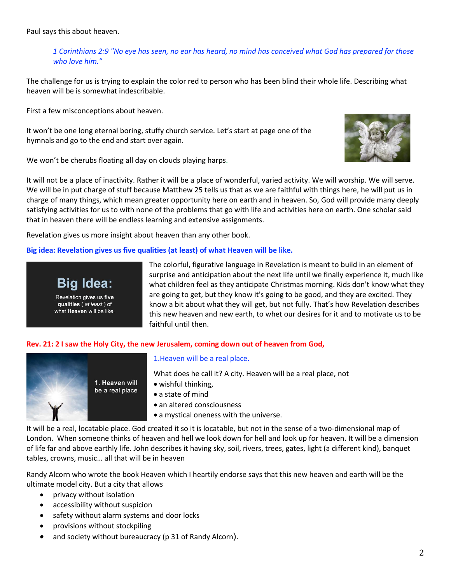Paul says this about heaven.

*1 Corinthians 2:9 "No eye has seen, no ear has heard, no mind has conceived what God has prepared for those who love him."*

The challenge for us is trying to explain the color red to person who has been blind their whole life. Describing what heaven will be is somewhat indescribable.

First a few misconceptions about heaven.

It won't be one long eternal boring, stuffy church service. Let's start at page one of the hymnals and go to the end and start over again.

We won't be cherubs floating all day on clouds playing harps.



It will not be a place of inactivity. Rather it will be a place of wonderful, varied activity. We will worship. We will serve. We will be in put charge of stuff because Matthew 25 tells us that as we are faithful with things here, he will put us in charge of many things, which mean greater opportunity here on earth and in heaven. So, God will provide many deeply satisfying activities for us to with none of the problems that go with life and activities here on earth. One scholar said that in heaven there will be endless learning and extensive assignments.

Revelation gives us more insight about heaven than any other book.

#### **Big idea: Revelation gives us five qualities (at least) of what Heaven will be like.**



Revelation gives us five qualities (at least) of what Heaven will be like. The colorful, figurative language in Revelation is meant to build in an element of surprise and anticipation about the next life until we finally experience it, much like what children feel as they anticipate Christmas morning. Kids don't know what they are going to get, but they know it's going to be good, and they are excited. They know a bit about what they will get, but not fully. That's how Revelation describes this new heaven and new earth, to whet our desires for it and to motivate us to be faithful until then.

#### **Rev. 21: 2 I saw the Holy City, the new Jerusalem, coming down out of heaven from God,**



#### 1.Heaven will be a real place.

What does he call it? A city. Heaven will be a real place, not

- wishful thinking,
- a state of mind
- an altered consciousness
- a mystical oneness with the universe.

It will be a real, locatable place. God created it so it is locatable, but not in the sense of a two-dimensional map of London. When someone thinks of heaven and hell we look down for hell and look up for heaven. It will be a dimension of life far and above earthly life. John describes it having sky, soil, rivers, trees, gates, light (a different kind), banquet tables, crowns, music… all that will be in heaven

Randy Alcorn who wrote the book Heaven which I heartily endorse says that this new heaven and earth will be the ultimate model city. But a city that allows

- privacy without isolation
- accessibility without suspicion
- safety without alarm systems and door locks
- provisions without stockpiling
- and society without bureaucracy (p 31 of Randy Alcorn).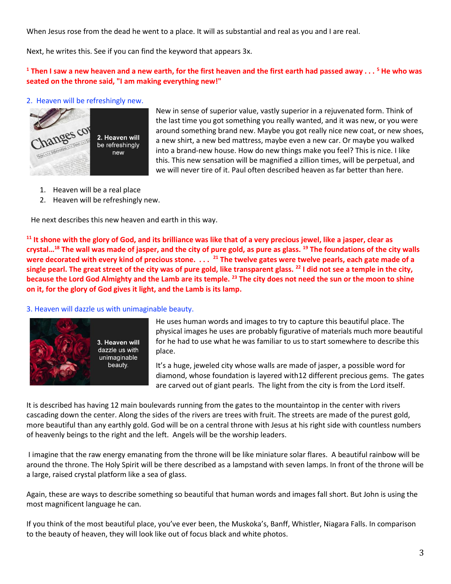When Jesus rose from the dead he went to a place. It will as substantial and real as you and I are real.

Next, he writes this. See if you can find the keyword that appears 3x.

## **<sup>1</sup> Then I saw a new heaven and a new earth, for the first heaven and the first earth had passed away . . . <sup>5</sup> He who was seated on the throne said, "I am making everything new!"**

#### 2. Heaven will be refreshingly new.



New in sense of superior value, vastly superior in a rejuvenated form. Think of the last time you got something you really wanted, and it was new, or you were around something brand new. Maybe you got really nice new coat, or new shoes, a new shirt, a new bed mattress, maybe even a new car. Or maybe you walked into a brand-new house. How do new things make you feel? This is nice. I like this. This new sensation will be magnified a zillion times, will be perpetual, and we will never tire of it. Paul often described heaven as far better than here.

- 1. Heaven will be a real place
- 2. Heaven will be refreshingly new.

He next describes this new heaven and earth in this way.

**<sup>11</sup> It shone with the glory of God, and its brilliance was like that of a very precious jewel, like a jasper, clear as crystal… <sup>18</sup> The wall was made of jasper, and the city of pure gold, as pure as glass. <sup>19</sup> The foundations of the city walls were decorated with every kind of precious stone. . . . <sup>21</sup> The twelve gates were twelve pearls, each gate made of a single pearl. The great street of the city was of pure gold, like transparent glass. <sup>22</sup> I did not see a temple in the city, because the Lord God Almighty and the Lamb are its temple. <sup>23</sup> The city does not need the sun or the moon to shine on it, for the glory of God gives it light, and the Lamb is its lamp.**

#### 3. Heaven will dazzle us with unimaginable beauty.



He uses human words and images to try to capture this beautiful place. The physical images he uses are probably figurative of materials much more beautiful for he had to use what he was familiar to us to start somewhere to describe this place.

It's a huge, jeweled city whose walls are made of jasper, a possible word for diamond, whose foundation is layered with12 different precious gems. The gates are carved out of giant pearls. The light from the city is from the Lord itself.

It is described has having 12 main boulevards running from the gates to the mountaintop in the center with rivers cascading down the center. Along the sides of the rivers are trees with fruit. The streets are made of the purest gold, more beautiful than any earthly gold. God will be on a central throne with Jesus at his right side with countless numbers of heavenly beings to the right and the left. Angels will be the worship leaders.

I imagine that the raw energy emanating from the throne will be like miniature solar flares. A beautiful rainbow will be around the throne. The Holy Spirit will be there described as a lampstand with seven lamps. In front of the throne will be a large, raised crystal platform like a sea of glass.

Again, these are ways to describe something so beautiful that human words and images fall short. But John is using the most magnificent language he can.

If you think of the most beautiful place, you've ever been, the Muskoka's, Banff, Whistler, Niagara Falls. In comparison to the beauty of heaven, they will look like out of focus black and white photos.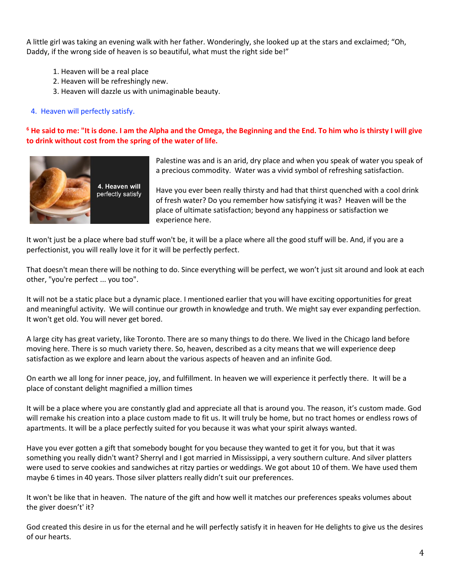A little girl was taking an evening walk with her father. Wonderingly, she looked up at the stars and exclaimed; "Oh, Daddy, if the wrong side of heaven is so beautiful, what must the right side be!"

- 1. Heaven will be a real place
- 2. Heaven will be refreshingly new.
- 3. Heaven will dazzle us with unimaginable beauty.

### 4. Heaven will perfectly satisfy.

## **<sup>6</sup> He said to me: "It is done. I am the Alpha and the Omega, the Beginning and the End. To him who is thirsty I will give to drink without cost from the spring of the water of life.**



Palestine was and is an arid, dry place and when you speak of water you speak of a precious commodity. Water was a vivid symbol of refreshing satisfaction.

Have you ever been really thirsty and had that thirst quenched with a cool drink of fresh water? Do you remember how satisfying it was? Heaven will be the place of ultimate satisfaction; beyond any happiness or satisfaction we experience here.

It won't just be a place where bad stuff won't be, it will be a place where all the good stuff will be. And, if you are a perfectionist, you will really love it for it will be perfectly perfect.

That doesn't mean there will be nothing to do. Since everything will be perfect, we won't just sit around and look at each other, "you're perfect ... you too".

It will not be a static place but a dynamic place. I mentioned earlier that you will have exciting opportunities for great and meaningful activity. We will continue our growth in knowledge and truth. We might say ever expanding perfection. It won't get old. You will never get bored.

A large city has great variety, like Toronto. There are so many things to do there. We lived in the Chicago land before moving here. There is so much variety there. So, heaven, described as a city means that we will experience deep satisfaction as we explore and learn about the various aspects of heaven and an infinite God.

On earth we all long for inner peace, joy, and fulfillment. In heaven we will experience it perfectly there. It will be a place of constant delight magnified a million times

It will be a place where you are constantly glad and appreciate all that is around you. The reason, it's custom made. God will remake his creation into a place custom made to fit us. It will truly be home, but no tract homes or endless rows of apartments. It will be a place perfectly suited for you because it was what your spirit always wanted.

Have you ever gotten a gift that somebody bought for you because they wanted to get it for you, but that it was something you really didn't want? Sherryl and I got married in Mississippi, a very southern culture. And silver platters were used to serve cookies and sandwiches at ritzy parties or weddings. We got about 10 of them. We have used them maybe 6 times in 40 years. Those silver platters really didn't suit our preferences.

It won't be like that in heaven. The nature of the gift and how well it matches our preferences speaks volumes about the giver doesn't' it?

God created this desire in us for the eternal and he will perfectly satisfy it in heaven for He delights to give us the desires of our hearts.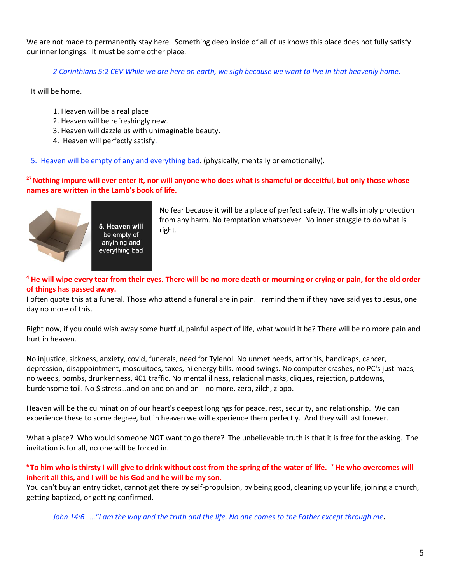We are not made to permanently stay here. Something deep inside of all of us knows this place does not fully satisfy our inner longings. It must be some other place.

*2 Corinthians 5:2 CEV While we are here on earth, we sigh because we want to live in that heavenly home.*

It will be home.

- 1. Heaven will be a real place
- 2. Heaven will be refreshingly new.
- 3. Heaven will dazzle us with unimaginable beauty.
- 4. Heaven will perfectly satisfy.

5. Heaven will be empty of any and everything bad. (physically, mentally or emotionally).

**<sup>27</sup>Nothing impure will ever enter it, nor will anyone who does what is shameful or deceitful, but only those whose names are written in the Lamb's book of life.** 



5. Heaven will be empty of anything and everything bad No fear because it will be a place of perfect safety. The walls imply protection from any harm. No temptation whatsoever. No inner struggle to do what is right.

## **<sup>4</sup> He will wipe every tear from their eyes. There will be no more death or mourning or crying or pain, for the old order of things has passed away.**

I often quote this at a funeral. Those who attend a funeral are in pain. I remind them if they have said yes to Jesus, one day no more of this.

Right now, if you could wish away some hurtful, painful aspect of life, what would it be? There will be no more pain and hurt in heaven.

No injustice, sickness, anxiety, covid, funerals, need for Tylenol. No unmet needs, arthritis, handicaps, cancer, depression, disappointment, mosquitoes, taxes, hi energy bills, mood swings. No computer crashes, no PC's just macs, no weeds, bombs, drunkenness, 401 traffic. No mental illness, relational masks, cliques, rejection, putdowns, burdensome toil. No \$ stress…and on and on and on-- no more, zero, zilch, zippo.

Heaven will be the culmination of our heart's deepest longings for peace, rest, security, and relationship. We can experience these to some degree, but in heaven we will experience them perfectly. And they will last forever.

What a place? Who would someone NOT want to go there? The unbelievable truth is that it is free for the asking. The invitation is for all, no one will be forced in.

**<sup>6</sup>To him who is thirsty I will give to drink without cost from the spring of the water of life. <sup>7</sup> He who overcomes will inherit all this, and I will be his God and he will be my son.**

You can't buy an entry ticket, cannot get there by self-propulsion, by being good, cleaning up your life, joining a church, getting baptized, or getting confirmed.

*John 14:6 …"I am the way and the truth and the life. No one comes to the Father except through me***.**